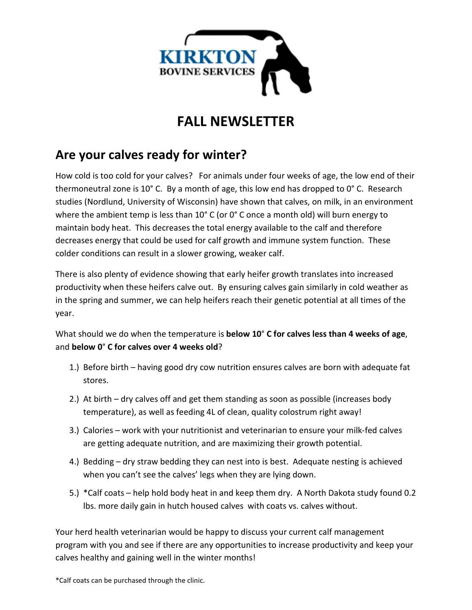

## **FALL NEWSLETTER**

## **Are your calves ready for winter?**

How cold is too cold for your calves? For animals under four weeks of age, the low end of their thermoneutral zone is 10° C. By a month of age, this low end has dropped to 0° C. Research studies (Nordlund, University of Wisconsin) have shown that calves, on milk, in an environment where the ambient temp is less than 10° C (or 0° C once a month old) will burn energy to maintain body heat. This decreases the total energy available to the calf and therefore decreases energy that could be used for calf growth and immune system function. These colder conditions can result in a slower growing, weaker calf.

There is also plenty of evidence showing that early heifer growth translates into increased productivity when these heifers calve out. By ensuring calves gain similarly in cold weather as in the spring and summer, we can help heifers reach their genetic potential at all times of the year.

What should we do when the temperature is **below 10**° **C for calves less than 4 weeks of age**, and **below 0**° **C for calves over 4 weeks old**?

- 1.) Before birth having good dry cow nutrition ensures calves are born with adequate fat stores.
- 2.) At birth dry calves off and get them standing as soon as possible (increases body temperature), as well as feeding 4L of clean, quality colostrum right away!
- 3.) Calories work with your nutritionist and veterinarian to ensure your milk-fed calves are getting adequate nutrition, and are maximizing their growth potential.
- 4.) Bedding dry straw bedding they can nest into is best. Adequate nesting is achieved when you can't see the calves' legs when they are lying down.
- 5.) \*Calf coats help hold body heat in and keep them dry. A North Dakota study found 0.2 lbs. more daily gain in hutch housed calves with coats vs. calves without.

Your herd health veterinarian would be happy to discuss your current calf management program with you and see if there are any opportunities to increase productivity and keep your calves healthy and gaining well in the winter months!